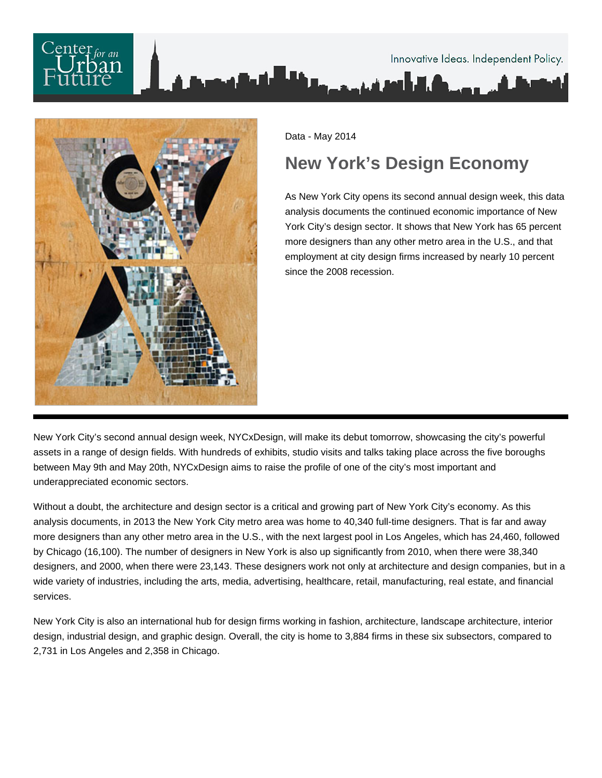



Data - May 2014

# **New York's Design Economy**

As New York City opens its second annual design week, this data analysis documents the continued economic importance of New York City's design sector. It shows that New York has 65 percent more designers than any other metro area in the U.S., and that employment at city design firms increased by nearly 10 percent since the 2008 recession.

New York City's second annual design week, NYCxDesign, will make its debut tomorrow, showcasing the city's powerful assets in a range of design fields. With hundreds of exhibits, studio visits and talks taking place across the five boroughs between May 9th and May 20th, NYCxDesign aims to raise the profile of one of the city's most important and underappreciated economic sectors.

Without a doubt, the architecture and design sector is a critical and growing part of New York City's economy. As this analysis documents, in 2013 the New York City metro area was home to 40,340 full-time designers. That is far and away more designers than any other metro area in the U.S., with the next largest pool in Los Angeles, which has 24,460, followed by Chicago (16,100). The number of designers in New York is also up significantly from 2010, when there were 38,340 designers, and 2000, when there were 23,143. These designers work not only at architecture and design companies, but in a wide variety of industries, including the arts, media, advertising, healthcare, retail, manufacturing, real estate, and financial services.

New York City is also an international hub for design firms working in fashion, architecture, landscape architecture, interior design, industrial design, and graphic design. Overall, the city is home to 3,884 firms in these six subsectors, compared to 2,731 in Los Angeles and 2,358 in Chicago.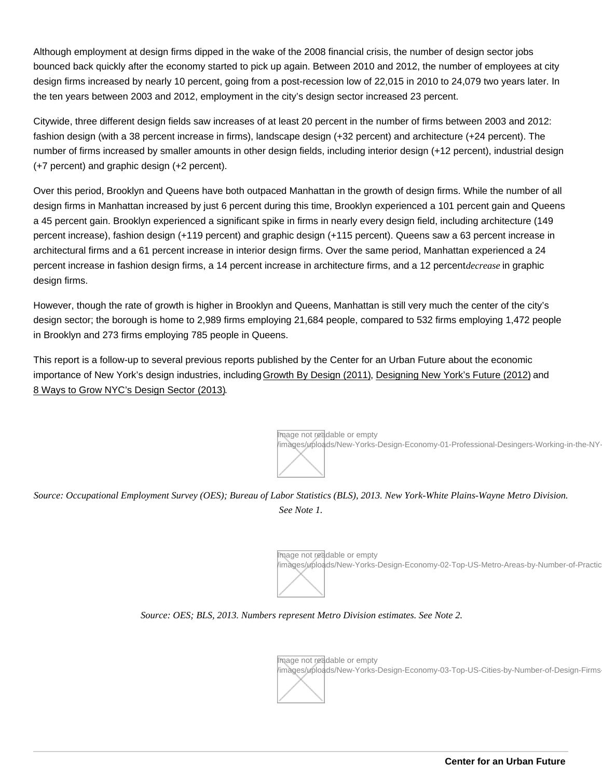Although employment at design firms dipped in the wake of the 2008 financial crisis, the number of design sector jobs bounced back quickly after the economy started to pick up again. Between 2010 and 2012, the number of employees at city design firms increased by nearly 10 percent, going from a post-recession low of 22,015 in 2010 to 24,079 two years later. In the ten years between 2003 and 2012, employment in the city's design sector increased 23 percent.

Citywide, three different design fields saw increases of at least 20 percent in the number of firms between 2003 and 2012: fashion design (with a 38 percent increase in firms), landscape design (+32 percent) and architecture (+24 percent). The number of firms increased by smaller amounts in other design fields, including interior design (+12 percent), industrial design (+7 percent) and graphic design (+2 percent).

Over this period, Brooklyn and Queens have both outpaced Manhattan in the growth of design firms. While the number of all design firms in Manhattan increased by just 6 percent during this time, Brooklyn experienced a 101 percent gain and Queens a 45 percent gain. Brooklyn experienced a significant spike in firms in nearly every design field, including architecture (149 percent increase), fashion design (+119 percent) and graphic design (+115 percent). Queens saw a 63 percent increase in architectural firms and a 61 percent increase in interior design firms. Over the same period, Manhattan experienced a 24 percent increase in fashion design firms, a 14 percent increase in architecture firms, and a 12 percent decreasen graphic design firms.

However, though the rate of growth is higher in Brooklyn and Queens, Manhattan is still very much the center of the city's design sector; the borough is home to 2,989 firms employing 21,684 people, compared to 532 firms employing 1,472 people in Brooklyn and 273 firms employing 785 people in Queens.

This report is a follow-up to several previous reports published by the Center for an Urban Future about the economic importance of New York's design industries, including [Growth By Design \(2011\)](http://nycfuture.org/research/publications/growth-by-design), [Designing New York's Future \(2012\)](http://nycfuture.org/research/publications/designing-new-yorks-future) and [8 Ways to Grow NYC's Design Sector \(2013\).](http://nycfuture.org/research/publications/8-ways-to-grow-new-yorks-design-sector)

> Image not readable or empty /images/uploads/New-Yorks-Design-Economy-01-Professional-Desingers-Working-in-the-NY-

# Source: Occupational Employment Survey (OES); Bureau of Labor Statistics (BLS), 2013. New York-White Plains-Wayne Metro Division. See Note 1.

Image not readable or empty /images/uploads/New-Yorks-Design-Economy-02-Top-US-Metro-Areas-by-Number-of-Practic

## Source: OES; BLS, 2013. Numbers represent Metro Division estimates. See Note 2.

Image not readable or empty /images/uploads/New-Yorks-Design-Economy-03-Top-US-Cities-by-Number-of-Design-Firms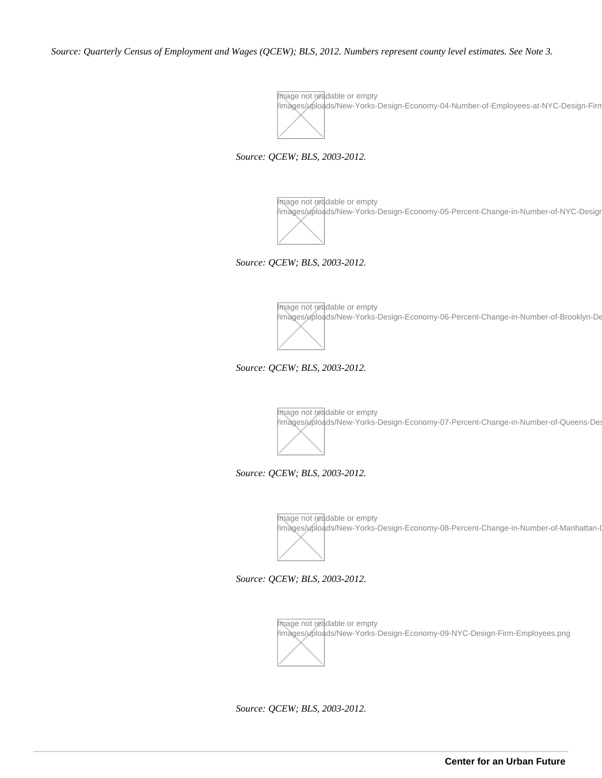*Source: Quarterly Census of Employment and Wages (QCEW); BLS, 2012. Numbers represent county level estimates. See Note 3.*

Image not readable or empty /images/uploads/New-Yorks-Design-Economy-04-Number-of-Employees-at-NYC-Design-Firms.png

*Source: QCEW; BLS, 2003-2012.*

Image not readable or empty images/uploads/New-Yorks-Design-Economy-05-Percent-Change-in-Number-of-NYC-Desigr

*Source: QCEW; BLS, 2003-2012.*

Image not readable or empty /images/uploads/New-Yorks-Design-Economy-06-Percent-Change-in-Number-of-Brooklyn-De

*Source: QCEW; BLS, 2003-2012.*

Image not readable or empty /images/uploads/New-Yorks-Design-Economy-07-Percent-Change-in-Number-of-Queens-De

*Source: QCEW; BLS, 2003-2012.*

Image not readable or empty /images/uploads/New-Yorks-Design-Economy-08-Percent-Change-in-Number-of-Manhattan-I

*Source: QCEW; BLS, 2003-2012.*

Image not readable or empty /images/uploads/New-Yorks-Design-Economy-09-NYC-Design-Firm-Employees.png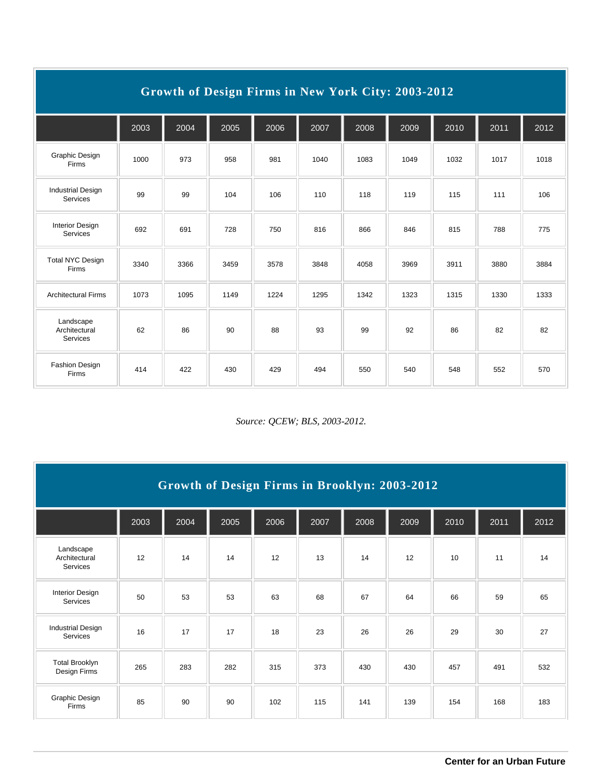| Growth of Design Firms in New York City: 2003-2012 |      |      |      |      |      |      |      |      |      |      |
|----------------------------------------------------|------|------|------|------|------|------|------|------|------|------|
|                                                    | 2003 | 2004 | 2005 | 2006 | 2007 | 2008 | 2009 | 2010 | 2011 | 2012 |
| Graphic Design<br>Firms                            | 1000 | 973  | 958  | 981  | 1040 | 1083 | 1049 | 1032 | 1017 | 1018 |
| <b>Industrial Design</b><br>Services               | 99   | 99   | 104  | 106  | 110  | 118  | 119  | 115  | 111  | 106  |
| <b>Interior Design</b><br>Services                 | 692  | 691  | 728  | 750  | 816  | 866  | 846  | 815  | 788  | 775  |
| <b>Total NYC Design</b><br>Firms                   | 3340 | 3366 | 3459 | 3578 | 3848 | 4058 | 3969 | 3911 | 3880 | 3884 |
| <b>Architectural Firms</b>                         | 1073 | 1095 | 1149 | 1224 | 1295 | 1342 | 1323 | 1315 | 1330 | 1333 |
| Landscape<br>Architectural<br>Services             | 62   | 86   | 90   | 88   | 93   | 99   | 92   | 86   | 82   | 82   |
| <b>Fashion Design</b><br>Firms                     | 414  | 422  | 430  | 429  | 494  | 550  | 540  | 548  | 552  | 570  |

| Growth of Design Firms in Brooklyn: 2003-2012 |      |      |      |      |      |      |      |      |      |      |
|-----------------------------------------------|------|------|------|------|------|------|------|------|------|------|
|                                               | 2003 | 2004 | 2005 | 2006 | 2007 | 2008 | 2009 | 2010 | 2011 | 2012 |
| Landscape<br>Architectural<br>Services        | 12   | 14   | 14   | 12   | 13   | 14   | 12   | 10   | 11   | 14   |
| <b>Interior Design</b><br>Services            | 50   | 53   | 53   | 63   | 68   | 67   | 64   | 66   | 59   | 65   |
| <b>Industrial Design</b><br>Services          | 16   | 17   | 17   | 18   | 23   | 26   | 26   | 29   | 30   | 27   |
| <b>Total Brooklyn</b><br>Design Firms         | 265  | 283  | 282  | 315  | 373  | 430  | 430  | 457  | 491  | 532  |
| Graphic Design<br>Firms                       | 85   | 90   | 90   | 102  | 115  | 141  | 139  | 154  | 168  | 183  |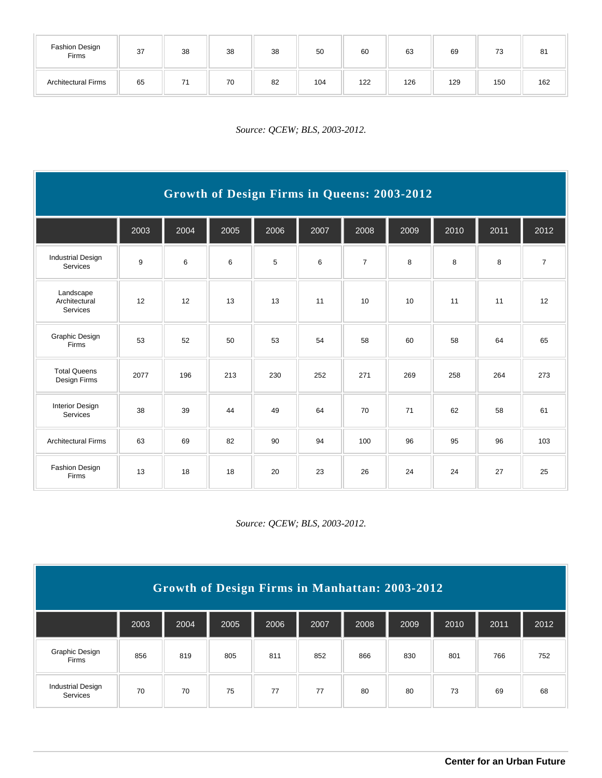| Fashion Design<br>Firms    | 37 | 38 | 38 | 38 | 50  | 60  | 63  | 69  | 73  | 81  |
|----------------------------|----|----|----|----|-----|-----|-----|-----|-----|-----|
| <b>Architectural Firms</b> | 65 |    | 70 | 82 | 104 | 122 | 126 | 129 | 150 | 162 |

*Source: QCEW; BLS, 2003-2012.*

| Growth of Design Firms in Queens: 2003-2012 |      |      |      |      |      |                |      |      |      |                |
|---------------------------------------------|------|------|------|------|------|----------------|------|------|------|----------------|
|                                             | 2003 | 2004 | 2005 | 2006 | 2007 | 2008           | 2009 | 2010 | 2011 | 2012           |
| <b>Industrial Design</b><br>Services        | 9    | 6    | 6    | 5    | 6    | $\overline{7}$ | 8    | 8    | 8    | $\overline{7}$ |
| Landscape<br>Architectural<br>Services      | 12   | 12   | 13   | 13   | 11   | 10             | 10   | 11   | 11   | 12             |
| Graphic Design<br>Firms                     | 53   | 52   | 50   | 53   | 54   | 58             | 60   | 58   | 64   | 65             |
| <b>Total Queens</b><br>Design Firms         | 2077 | 196  | 213  | 230  | 252  | 271            | 269  | 258  | 264  | 273            |
| <b>Interior Design</b><br>Services          | 38   | 39   | 44   | 49   | 64   | 70             | 71   | 62   | 58   | 61             |
| <b>Architectural Firms</b>                  | 63   | 69   | 82   | 90   | 94   | 100            | 96   | 95   | 96   | 103            |
| <b>Fashion Design</b><br>Firms              | 13   | 18   | 18   | 20   | 23   | 26             | 24   | 24   | 27   | 25             |

| Growth of Design Firms in Manhattan: 2003-2012 |      |      |      |      |      |      |      |      |      |      |
|------------------------------------------------|------|------|------|------|------|------|------|------|------|------|
|                                                | 2003 | 2004 | 2005 | 2006 | 2007 | 2008 | 2009 | 2010 | 2011 | 2012 |
| Graphic Design<br>Firms                        | 856  | 819  | 805  | 811  | 852  | 866  | 830  | 801  | 766  | 752  |
| <b>Industrial Design</b><br>Services           | 70   | 70   | 75   | 77   | 77   | 80   | 80   | 73   | 69   | 68   |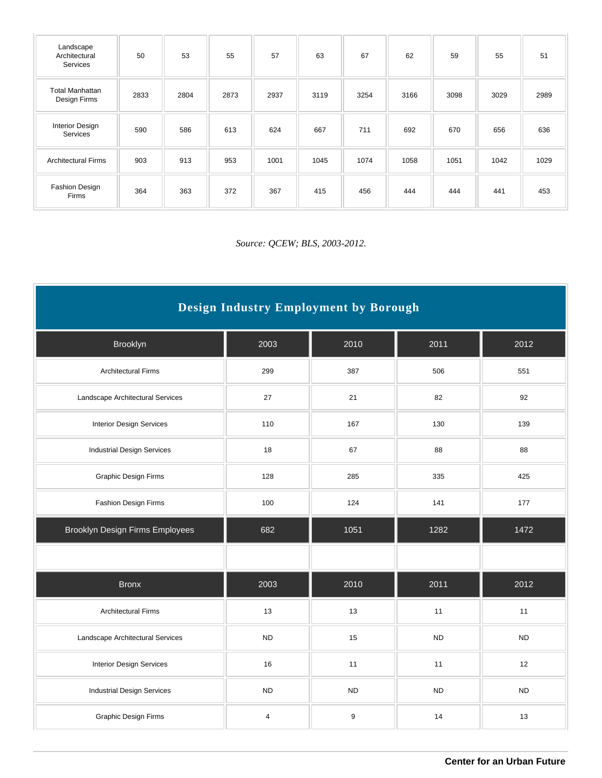| Landscape<br>Architectural<br>Services | 50   | 53   | 55   | 57   | 63   | 67   | 62   | 59   | 55   | 51   |
|----------------------------------------|------|------|------|------|------|------|------|------|------|------|
| <b>Total Manhattan</b><br>Design Firms | 2833 | 2804 | 2873 | 2937 | 3119 | 3254 | 3166 | 3098 | 3029 | 2989 |
| <b>Interior Design</b><br>Services     | 590  | 586  | 613  | 624  | 667  | 711  | 692  | 670  | 656  | 636  |
| <b>Architectural Firms</b>             | 903  | 913  | 953  | 1001 | 1045 | 1074 | 1058 | 1051 | 1042 | 1029 |
| Fashion Design<br>Firms                | 364  | 363  | 372  | 367  | 415  | 456  | 444  | 444  | 441  | 453  |

| Design Industry Employment by Borough  |                         |                  |           |           |  |  |  |  |  |
|----------------------------------------|-------------------------|------------------|-----------|-----------|--|--|--|--|--|
| Brooklyn                               | 2003                    | 2010             | 2011      | 2012      |  |  |  |  |  |
| <b>Architectural Firms</b>             | 299                     | 387              | 506       | 551       |  |  |  |  |  |
| Landscape Architectural Services       | 27                      | 21               | 82        | 92        |  |  |  |  |  |
| <b>Interior Design Services</b>        | 110                     | 167              | 130       | 139       |  |  |  |  |  |
| <b>Industrial Design Services</b>      | 18                      | 67               | 88        | 88        |  |  |  |  |  |
| <b>Graphic Design Firms</b>            | 128                     | 285              | 335       | 425       |  |  |  |  |  |
| Fashion Design Firms                   | 100<br>124              |                  | 141       | 177       |  |  |  |  |  |
| <b>Brooklyn Design Firms Employees</b> | 682                     | 1051             | 1282      | 1472      |  |  |  |  |  |
|                                        |                         |                  |           |           |  |  |  |  |  |
| <b>Bronx</b>                           | 2003                    | 2010             | 2011      | 2012      |  |  |  |  |  |
| <b>Architectural Firms</b>             | 13                      | 13               | 11        | 11        |  |  |  |  |  |
| Landscape Architectural Services       | <b>ND</b>               | 15               | <b>ND</b> | <b>ND</b> |  |  |  |  |  |
| <b>Interior Design Services</b>        | 16                      | 11               | 11        | 12        |  |  |  |  |  |
| <b>Industrial Design Services</b>      | <b>ND</b>               | <b>ND</b>        | <b>ND</b> | <b>ND</b> |  |  |  |  |  |
| Graphic Design Firms                   | $\overline{\mathbf{4}}$ | $\boldsymbol{9}$ | 14        | 13        |  |  |  |  |  |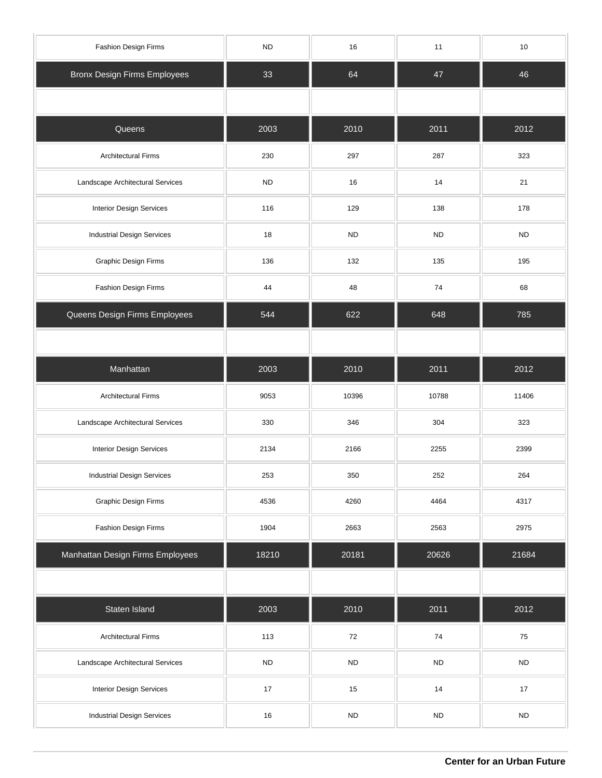| Fashion Design Firms                | ${\sf ND}$ | 16         | 11        | 10         |
|-------------------------------------|------------|------------|-----------|------------|
| <b>Bronx Design Firms Employees</b> | 33         | 64         | 47        | 46         |
|                                     |            |            |           |            |
| Queens                              | 2003       | 2010       | 2011      | 2012       |
| <b>Architectural Firms</b>          | 230        | 297        | 287       | 323        |
| Landscape Architectural Services    | <b>ND</b>  | 16         | 14        | 21         |
| Interior Design Services            | 116        | 129        | 138       | 178        |
| <b>Industrial Design Services</b>   | 18         | <b>ND</b>  | <b>ND</b> | ${\sf ND}$ |
| Graphic Design Firms                | 136        | 132        | 135       | 195        |
| Fashion Design Firms                | 44         | 48         | 74        | 68         |
| Queens Design Firms Employees       | 544        | 622        | 648       | 785        |
|                                     |            |            |           |            |
| Manhattan                           | 2003       | 2010       | 2011      | 2012       |
| <b>Architectural Firms</b>          | 9053       | 10396      | 10788     | 11406      |
| Landscape Architectural Services    | 330        | 346        | 304       | 323        |
| Interior Design Services            | 2134       | 2166       | 2255      | 2399       |
| <b>Industrial Design Services</b>   | 253        | 350        | 252       | 264        |
| Graphic Design Firms                | 4536       | 4260       | 4464      | 4317       |
| Fashion Design Firms                | 1904       | 2663       | 2563      | 2975       |
| Manhattan Design Firms Employees    | 18210      | 20181      | 20626     | 21684      |
|                                     |            |            |           |            |
| Staten Island                       | 2003       | 2010       | 2011      | 2012       |
| <b>Architectural Firms</b>          | 113        | $72\,$     | $74\,$    | 75         |
| Landscape Architectural Services    | ${\sf ND}$ | <b>ND</b>  | <b>ND</b> | ${\sf ND}$ |
| Interior Design Services            | 17         | 15         | 14        | $17$       |
| <b>Industrial Design Services</b>   | 16         | ${\sf ND}$ | <b>ND</b> | ${\sf ND}$ |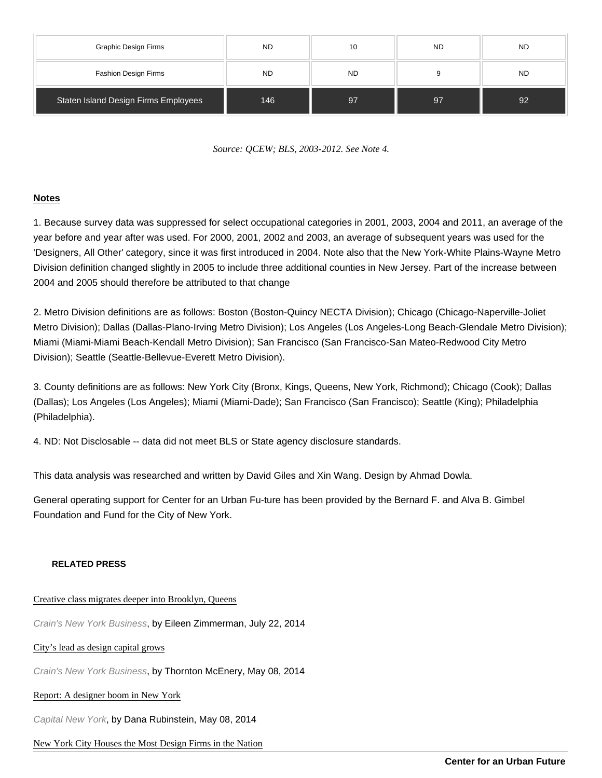| Graphic Design Firms                 | <b>ND</b> | 10        | <b>ND</b> | <b>ND</b> |
|--------------------------------------|-----------|-----------|-----------|-----------|
| Fashion Design Firms                 | <b>ND</b> | <b>ND</b> | 9         | <b>ND</b> |
| Staten Island Design Firms Employees | 146       | 97        | 97        | 92        |

Source: QCEW; BLS, 2003-2012. See Note 4.

### Notes

1. Because survey data was suppressed for select occupational categories in 2001, 2003, 2004 and 2011, an average of the year before and year after was used. For 2000, 2001, 2002 and 2003, an average of subsequent years was used for the 'Designers, All Other' category, since it was first introduced in 2004. Note also that the New York-White Plains-Wayne Metro Division definition changed slightly in 2005 to include three additional counties in New Jersey. Part of the increase between 2004 and 2005 should therefore be attributed to that change

2. Metro Division definitions are as follows: Boston (Boston-Quincy NECTA Division); Chicago (Chicago-Naperville-Joliet Metro Division); Dallas (Dallas-Plano-Irving Metro Division); Los Angeles (Los Angeles-Long Beach-Glendale Metro Division); Miami (Miami-Miami Beach-Kendall Metro Division); San Francisco (San Francisco-San Mateo-Redwood City Metro Division); Seattle (Seattle-Bellevue-Everett Metro Division).

3. County definitions are as follows: New York City (Bronx, Kings, Queens, New York, Richmond); Chicago (Cook); Dallas (Dallas); Los Angeles (Los Angeles); Miami (Miami-Dade); San Francisco (San Francisco); Seattle (King); Philadelphia (Philadelphia).

4. ND: Not Disclosable -- data did not meet BLS or State agency disclosure standards.

This data analysis was researched and written by David Giles and Xin Wang. Design by Ahmad Dowla.

General operating support for Center for an Urban Fu-ture has been provided by the Bernard F. and Alva B. Gimbel Foundation and Fund for the City of New York.

#### RELATED PRESS

#### [Creative class migrates deeper into Brooklyn, Qu](http://www.crainsnewyork.com/article/20140722/SMALLBIZ/140729964/creative-class-migrates-deeper-into-brooklyn-queens)eens

Crain's New York Business, by Eileen Zimmerman, July 22, 2014

#### [City's lead as design capital gro](http://www.crainsnewyork.com/article/20140508/ECONOMY/140509857/citys-lead-as-design-capital-grows)ws

Crain's New York Business, by Thornton McEnery, May 08, 2014

#### [Report: A designer boom in New Yo](http://www.capitalnewyork.com/article/city-hall/2014/05/8545050/report-designer-boom-new-york)rk

Capital New York, by Dana Rubinstein, May 08, 2014

# [New York City Houses the Most Design Firms in the Na](http://www.fashiontimes.com/articles/6718/20140509/new-york-city-houses-design-firms-nation.htm)tion